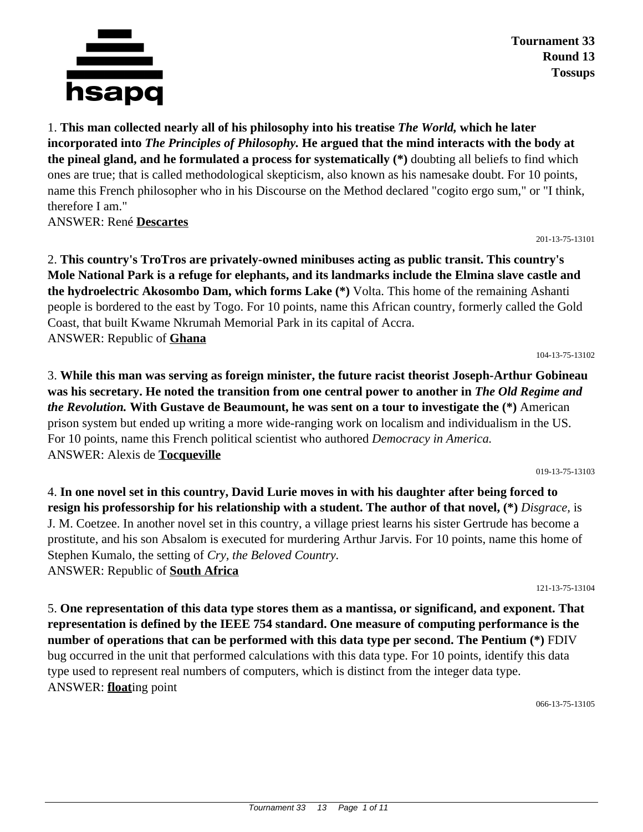

**Tournament 33 Round 13 Tossups**

1. **This man collected nearly all of his philosophy into his treatise** *The World,* **which he later incorporated into** *The Principles of Philosophy.* **He argued that the mind interacts with the body at the pineal gland, and he formulated a process for systematically (\*)** doubting all beliefs to find which ones are true; that is called methodological skepticism, also known as his namesake doubt. For 10 points, name this French philosopher who in his Discourse on the Method declared "cogito ergo sum," or "I think, therefore I am."

ANSWER: René **Descartes**

2. **This country's TroTros are privately-owned minibuses acting as public transit. This country's Mole National Park is a refuge for elephants, and its landmarks include the Elmina slave castle and the hydroelectric Akosombo Dam, which forms Lake (\*)** Volta. This home of the remaining Ashanti people is bordered to the east by Togo. For 10 points, name this African country, formerly called the Gold Coast, that built Kwame Nkrumah Memorial Park in its capital of Accra. ANSWER: Republic of **Ghana**

104-13-75-13102

201-13-75-13101

3. **While this man was serving as foreign minister, the future racist theorist Joseph-Arthur Gobineau was his secretary. He noted the transition from one central power to another in** *The Old Regime and the Revolution.* **With Gustave de Beaumount, he was sent on a tour to investigate the (\*)** American prison system but ended up writing a more wide-ranging work on localism and individualism in the US. For 10 points, name this French political scientist who authored *Democracy in America.* ANSWER: Alexis de **Tocqueville**

019-13-75-13103

4. **In one novel set in this country, David Lurie moves in with his daughter after being forced to resign his professorship for his relationship with a student. The author of that novel, (\*)** *Disgrace,* is J. M. Coetzee. In another novel set in this country, a village priest learns his sister Gertrude has become a prostitute, and his son Absalom is executed for murdering Arthur Jarvis. For 10 points, name this home of Stephen Kumalo, the setting of *Cry, the Beloved Country.* ANSWER: Republic of **South Africa**

121-13-75-13104

5. **One representation of this data type stores them as a mantissa, or significand, and exponent. That representation is defined by the IEEE 754 standard. One measure of computing performance is the number of operations that can be performed with this data type per second. The Pentium (\*)** FDIV bug occurred in the unit that performed calculations with this data type. For 10 points, identify this data type used to represent real numbers of computers, which is distinct from the integer data type. ANSWER: **float**ing point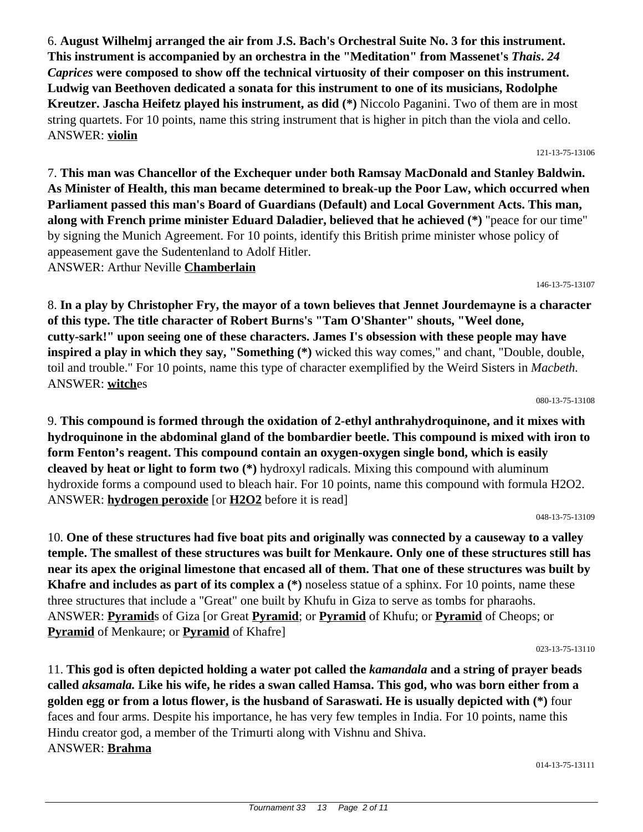6. **August Wilhelmj arranged the air from J.S. Bach's Orchestral Suite No. 3 for this instrument. This instrument is accompanied by an orchestra in the "Meditation" from Massenet's** *Thais***.** *24 Caprices* **were composed to show off the technical virtuosity of their composer on this instrument. Ludwig van Beethoven dedicated a sonata for this instrument to one of its musicians, Rodolphe Kreutzer. Jascha Heifetz played his instrument, as did (\*)** Niccolo Paganini. Two of them are in most string quartets. For 10 points, name this string instrument that is higher in pitch than the viola and cello. ANSWER: **violin**

7. **This man was Chancellor of the Exchequer under both Ramsay MacDonald and Stanley Baldwin. As Minister of Health, this man became determined to break-up the Poor Law, which occurred when Parliament passed this man's Board of Guardians (Default) and Local Government Acts. This man, along with French prime minister Eduard Daladier, believed that he achieved (\*)** "peace for our time" by signing the Munich Agreement. For 10 points, identify this British prime minister whose policy of appeasement gave the Sudentenland to Adolf Hitler. ANSWER: Arthur Neville **Chamberlain**

146-13-75-13107

121-13-75-13106

8. **In a play by Christopher Fry, the mayor of a town believes that Jennet Jourdemayne is a character of this type. The title character of Robert Burns's "Tam O'Shanter" shouts, "Weel done, cutty-sark!" upon seeing one of these characters. James I's obsession with these people may have inspired a play in which they say, "Something (\*)** wicked this way comes," and chant, "Double, double, toil and trouble." For 10 points, name this type of character exemplified by the Weird Sisters in *Macbeth.* ANSWER: **witch**es

080-13-75-13108

9. **This compound is formed through the oxidation of 2-ethyl anthrahydroquinone, and it mixes with hydroquinone in the abdominal gland of the bombardier beetle. This compound is mixed with iron to form Fenton's reagent. This compound contain an oxygen-oxygen single bond, which is easily cleaved by heat or light to form two (\*)** hydroxyl radicals. Mixing this compound with aluminum hydroxide forms a compound used to bleach hair. For 10 points, name this compound with formula H2O2. ANSWER: **hydrogen peroxide** [or **H2O2** before it is read]

048-13-75-13109

10. **One of these structures had five boat pits and originally was connected by a causeway to a valley temple. The smallest of these structures was built for Menkaure. Only one of these structures still has near its apex the original limestone that encased all of them. That one of these structures was built by Khafre and includes as part of its complex a (\*)** noseless statue of a sphinx. For 10 points, name these three structures that include a "Great" one built by Khufu in Giza to serve as tombs for pharaohs. ANSWER: **Pyramid**s of Giza [or Great **Pyramid**; or **Pyramid** of Khufu; or **Pyramid** of Cheops; or **Pyramid** of Menkaure; or **Pyramid** of Khafre]

023-13-75-13110

11. **This god is often depicted holding a water pot called the** *kamandala* **and a string of prayer beads called** *aksamala.* **Like his wife, he rides a swan called Hamsa. This god, who was born either from a golden egg or from a lotus flower, is the husband of Saraswati. He is usually depicted with (\*)** four faces and four arms. Despite his importance, he has very few temples in India. For 10 points, name this Hindu creator god, a member of the Trimurti along with Vishnu and Shiva. ANSWER: **Brahma**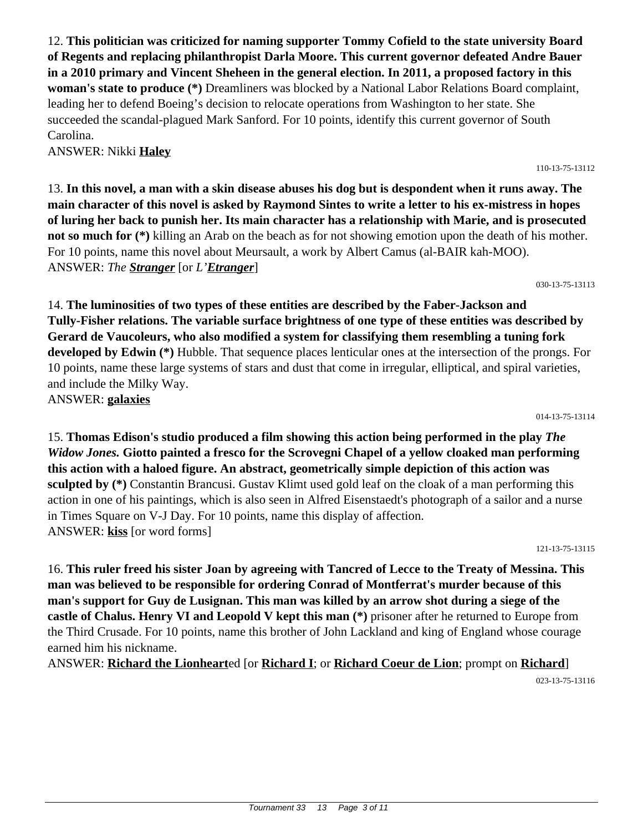12. **This politician was criticized for naming supporter Tommy Cofield to the state university Board of Regents and replacing philanthropist Darla Moore. This current governor defeated Andre Bauer in a 2010 primary and Vincent Sheheen in the general election. In 2011, a proposed factory in this woman's state to produce (\*)** Dreamliners was blocked by a National Labor Relations Board complaint, leading her to defend Boeing's decision to relocate operations from Washington to her state. She succeeded the scandal-plagued Mark Sanford. For 10 points, identify this current governor of South Carolina.

ANSWER: Nikki **Haley**

13. **In this novel, a man with a skin disease abuses his dog but is despondent when it runs away. The main character of this novel is asked by Raymond Sintes to write a letter to his ex-mistress in hopes of luring her back to punish her. Its main character has a relationship with Marie, and is prosecuted not so much for (\*)** killing an Arab on the beach as for not showing emotion upon the death of his mother. For 10 points, name this novel about Meursault, a work by Albert Camus (al-BAIR kah-MOO). ANSWER: *The Stranger* [or *L'Etranger*]

030-13-75-13113

14. **The luminosities of two types of these entities are described by the Faber-Jackson and Tully-Fisher relations. The variable surface brightness of one type of these entities was described by Gerard de Vaucoleurs, who also modified a system for classifying them resembling a tuning fork developed by Edwin (\*)** Hubble. That sequence places lenticular ones at the intersection of the prongs. For 10 points, name these large systems of stars and dust that come in irregular, elliptical, and spiral varieties, and include the Milky Way. ANSWER: **galaxies**

014-13-75-13114

15. **Thomas Edison's studio produced a film showing this action being performed in the play** *The Widow Jones.* **Giotto painted a fresco for the Scrovegni Chapel of a yellow cloaked man performing this action with a haloed figure. An abstract, geometrically simple depiction of this action was sculpted by (\*)** Constantin Brancusi. Gustav Klimt used gold leaf on the cloak of a man performing this action in one of his paintings, which is also seen in Alfred Eisenstaedt's photograph of a sailor and a nurse in Times Square on V-J Day. For 10 points, name this display of affection. ANSWER: **kiss** [or word forms]

121-13-75-13115

16. **This ruler freed his sister Joan by agreeing with Tancred of Lecce to the Treaty of Messina. This man was believed to be responsible for ordering Conrad of Montferrat's murder because of this man's support for Guy de Lusignan. This man was killed by an arrow shot during a siege of the castle of Chalus. Henry VI and Leopold V kept this man (\*)** prisoner after he returned to Europe from the Third Crusade. For 10 points, name this brother of John Lackland and king of England whose courage earned him his nickname.

ANSWER: **Richard the Lionheart**ed [or **Richard I**; or **Richard Coeur de Lion**; prompt on **Richard**] 023-13-75-13116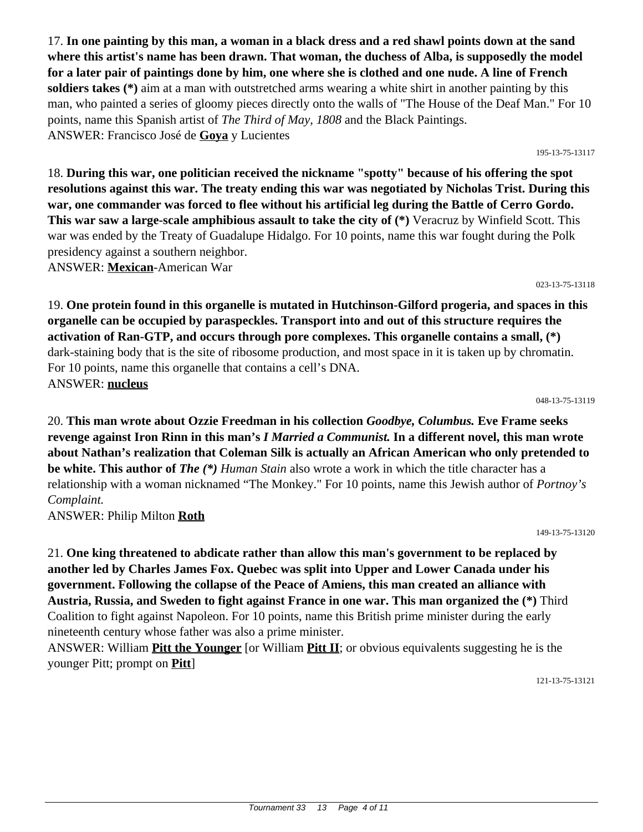17. **In one painting by this man, a woman in a black dress and a red shawl points down at the sand where this artist's name has been drawn. That woman, the duchess of Alba, is supposedly the model for a later pair of paintings done by him, one where she is clothed and one nude. A line of French soldiers takes (\*)** aim at a man with outstretched arms wearing a white shirt in another painting by this man, who painted a series of gloomy pieces directly onto the walls of "The House of the Deaf Man." For 10 points, name this Spanish artist of *The Third of May, 1808* and the Black Paintings. ANSWER: Francisco José de **Goya** y Lucientes

18. **During this war, one politician received the nickname "spotty" because of his offering the spot resolutions against this war. The treaty ending this war was negotiated by Nicholas Trist. During this war, one commander was forced to flee without his artificial leg during the Battle of Cerro Gordo. This war saw a large-scale amphibious assault to take the city of (\*)** Veracruz by Winfield Scott. This

war was ended by the Treaty of Guadalupe Hidalgo. For 10 points, name this war fought during the Polk presidency against a southern neighbor. ANSWER: **Mexican**-American War

023-13-75-13118

195-13-75-13117

19. **One protein found in this organelle is mutated in Hutchinson-Gilford progeria, and spaces in this organelle can be occupied by paraspeckles. Transport into and out of this structure requires the activation of Ran-GTP, and occurs through pore complexes. This organelle contains a small, (\*)** dark-staining body that is the site of ribosome production, and most space in it is taken up by chromatin. For 10 points, name this organelle that contains a cell's DNA. ANSWER: **nucleus**

048-13-75-13119

20. **This man wrote about Ozzie Freedman in his collection** *Goodbye, Columbus.* **Eve Frame seeks revenge against Iron Rinn in this man's** *I Married a Communist.* **In a different novel, this man wrote about Nathan's realization that Coleman Silk is actually an African American who only pretended to be white. This author of** *The (\*) Human Stain* also wrote a work in which the title character has a relationship with a woman nicknamed "The Monkey." For 10 points, name this Jewish author of *Portnoy's Complaint.*

ANSWER: Philip Milton **Roth**

149-13-75-13120

21. **One king threatened to abdicate rather than allow this man's government to be replaced by another led by Charles James Fox. Quebec was split into Upper and Lower Canada under his government. Following the collapse of the Peace of Amiens, this man created an alliance with Austria, Russia, and Sweden to fight against France in one war. This man organized the (\*)** Third Coalition to fight against Napoleon. For 10 points, name this British prime minister during the early nineteenth century whose father was also a prime minister.

ANSWER: William **Pitt the Younger** [or William **Pitt II**; or obvious equivalents suggesting he is the younger Pitt; prompt on **Pitt**]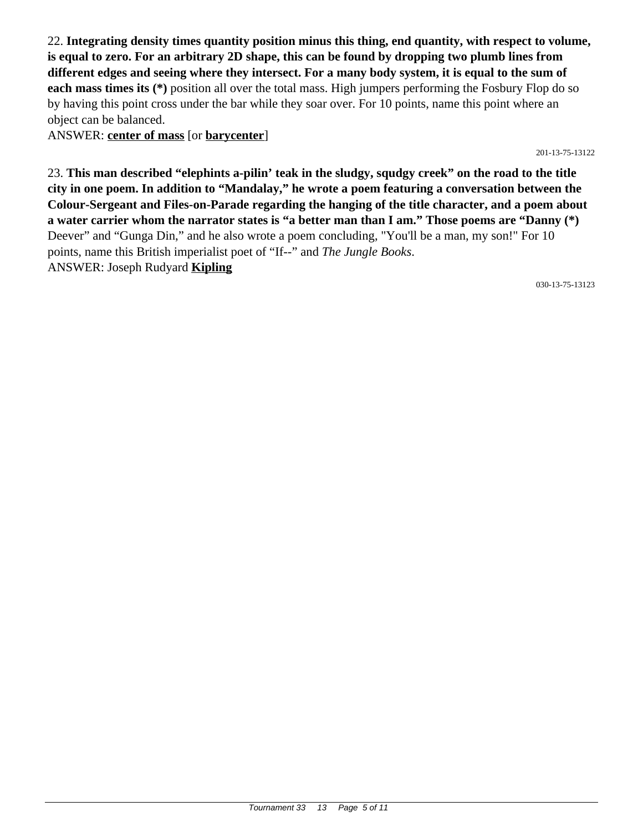22. **Integrating density times quantity position minus this thing, end quantity, with respect to volume, is equal to zero. For an arbitrary 2D shape, this can be found by dropping two plumb lines from different edges and seeing where they intersect. For a many body system, it is equal to the sum of each mass times its (\*)** position all over the total mass. High jumpers performing the Fosbury Flop do so by having this point cross under the bar while they soar over. For 10 points, name this point where an object can be balanced.

ANSWER: **center of mass** [or **barycenter**]

201-13-75-13122

23. **This man described "elephints a-pilin' teak in the sludgy, squdgy creek" on the road to the title city in one poem. In addition to "Mandalay," he wrote a poem featuring a conversation between the Colour-Sergeant and Files-on-Parade regarding the hanging of the title character, and a poem about a water carrier whom the narrator states is "a better man than I am." Those poems are "Danny (\*)** Deever" and "Gunga Din," and he also wrote a poem concluding, "You'll be a man, my son!" For 10 points, name this British imperialist poet of "If--" and *The Jungle Books*. ANSWER: Joseph Rudyard **Kipling**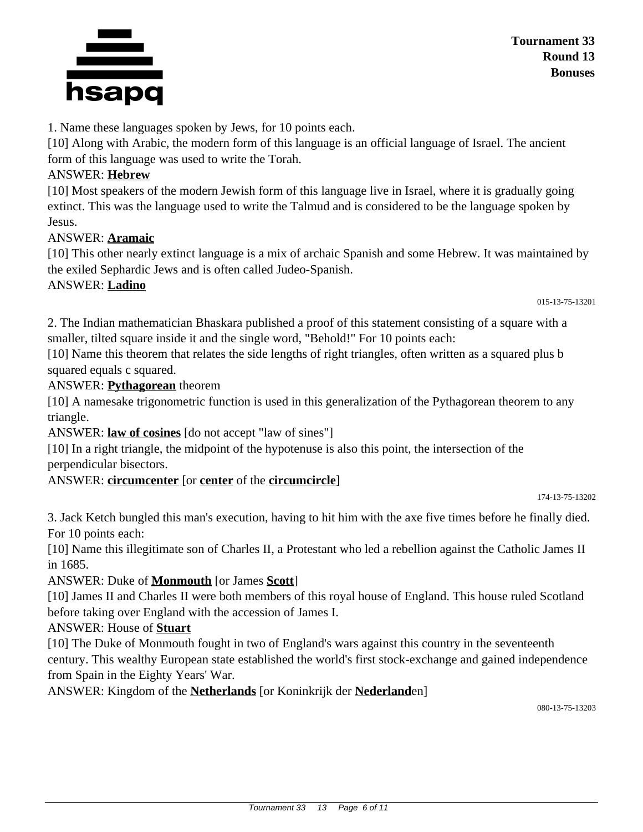

1. Name these languages spoken by Jews, for 10 points each.

[10] Along with Arabic, the modern form of this language is an official language of Israel. The ancient form of this language was used to write the Torah.

# ANSWER: **Hebrew**

[10] Most speakers of the modern Jewish form of this language live in Israel, where it is gradually going extinct. This was the language used to write the Talmud and is considered to be the language spoken by Jesus.

# ANSWER: **Aramaic**

[10] This other nearly extinct language is a mix of archaic Spanish and some Hebrew. It was maintained by the exiled Sephardic Jews and is often called Judeo-Spanish.

# ANSWER: **Ladino**

015-13-75-13201

2. The Indian mathematician Bhaskara published a proof of this statement consisting of a square with a smaller, tilted square inside it and the single word, "Behold!" For 10 points each:

[10] Name this theorem that relates the side lengths of right triangles, often written as a squared plus b squared equals c squared.

# ANSWER: **Pythagorean** theorem

[10] A namesake trigonometric function is used in this generalization of the Pythagorean theorem to any triangle.

ANSWER: **law of cosines** [do not accept "law of sines"]

[10] In a right triangle, the midpoint of the hypotenuse is also this point, the intersection of the perpendicular bisectors.

# ANSWER: **circumcenter** [or **center** of the **circumcircle**]

174-13-75-13202

3. Jack Ketch bungled this man's execution, having to hit him with the axe five times before he finally died. For 10 points each:

[10] Name this illegitimate son of Charles II, a Protestant who led a rebellion against the Catholic James II in 1685.

# ANSWER: Duke of **Monmouth** [or James **Scott**]

[10] James II and Charles II were both members of this royal house of England. This house ruled Scotland before taking over England with the accession of James I.

# ANSWER: House of **Stuart**

[10] The Duke of Monmouth fought in two of England's wars against this country in the seventeenth century. This wealthy European state established the world's first stock-exchange and gained independence from Spain in the Eighty Years' War.

ANSWER: Kingdom of the **Netherlands** [or Koninkrijk der **Nederland**en]

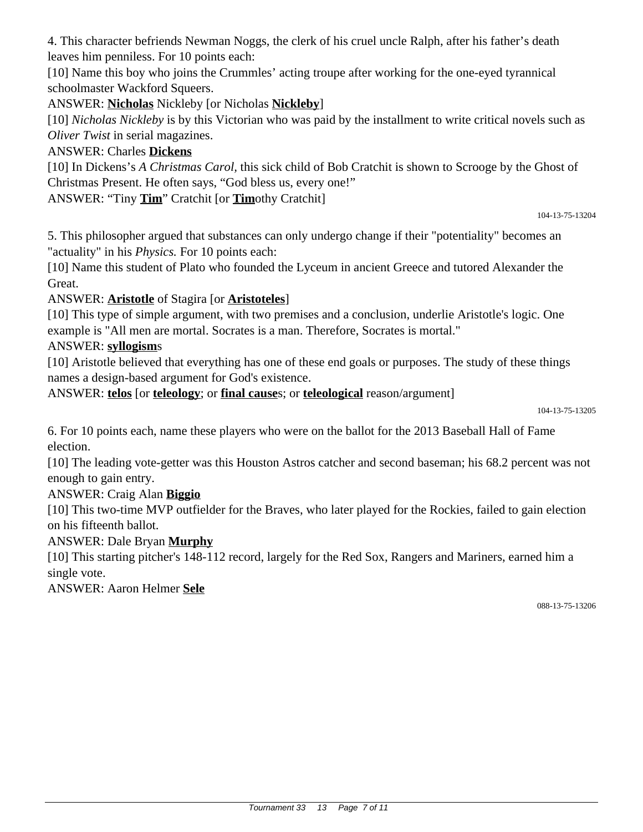4. This character befriends Newman Noggs, the clerk of his cruel uncle Ralph, after his father's death leaves him penniless. For 10 points each:

[10] Name this boy who joins the Crummles' acting troupe after working for the one-eyed tyrannical schoolmaster Wackford Squeers.

ANSWER: **Nicholas** Nickleby [or Nicholas **Nickleby**]

[10] *Nicholas Nickleby* is by this Victorian who was paid by the installment to write critical novels such as *Oliver Twist* in serial magazines.

# ANSWER: Charles **Dickens**

[10] In Dickens's *A Christmas Carol*, this sick child of Bob Cratchit is shown to Scrooge by the Ghost of Christmas Present. He often says, "God bless us, every one!"

ANSWER: "Tiny **Tim**" Cratchit [or **Tim**othy Cratchit]

```
104-13-75-13204
```
5. This philosopher argued that substances can only undergo change if their "potentiality" becomes an "actuality" in his *Physics.* For 10 points each:

[10] Name this student of Plato who founded the Lyceum in ancient Greece and tutored Alexander the Great.

# ANSWER: **Aristotle** of Stagira [or **Aristoteles**]

[10] This type of simple argument, with two premises and a conclusion, underlie Aristotle's logic. One example is "All men are mortal. Socrates is a man. Therefore, Socrates is mortal."

# ANSWER: **syllogism**s

[10] Aristotle believed that everything has one of these end goals or purposes. The study of these things names a design-based argument for God's existence.

ANSWER: **telos** [or **teleology**; or **final cause**s; or **teleological** reason/argument]

6. For 10 points each, name these players who were on the ballot for the 2013 Baseball Hall of Fame election.

[10] The leading vote-getter was this Houston Astros catcher and second baseman; his 68.2 percent was not enough to gain entry.

# ANSWER: Craig Alan **Biggio**

[10] This two-time MVP outfielder for the Braves, who later played for the Rockies, failed to gain election on his fifteenth ballot.

# ANSWER: Dale Bryan **Murphy**

[10] This starting pitcher's 148-112 record, largely for the Red Sox, Rangers and Mariners, earned him a single vote.

ANSWER: Aaron Helmer **Sele**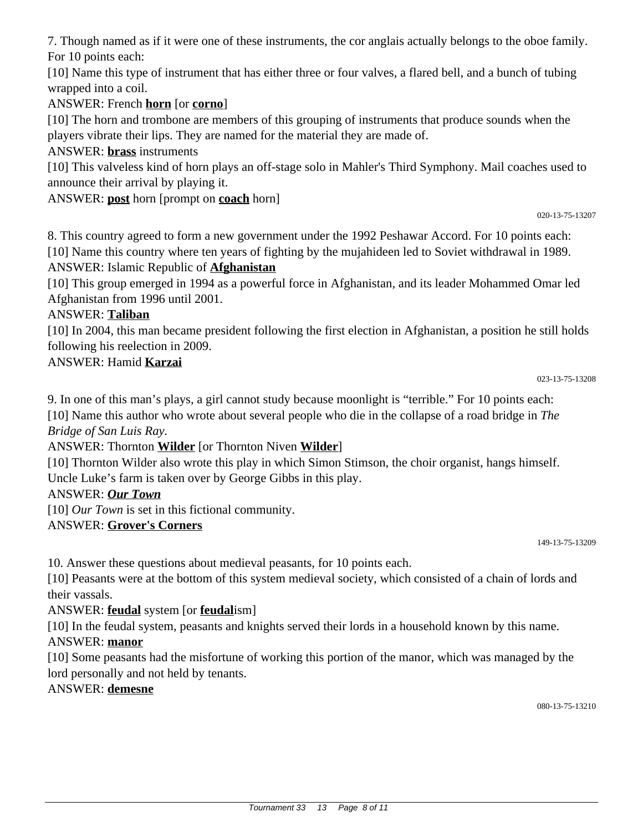7. Though named as if it were one of these instruments, the cor anglais actually belongs to the oboe family. For 10 points each:

[10] Name this type of instrument that has either three or four valves, a flared bell, and a bunch of tubing wrapped into a coil.

ANSWER: French **horn** [or **corno**]

[10] The horn and trombone are members of this grouping of instruments that produce sounds when the players vibrate their lips. They are named for the material they are made of.

ANSWER: **brass** instruments

[10] This valveless kind of horn plays an off-stage solo in Mahler's Third Symphony. Mail coaches used to announce their arrival by playing it.

ANSWER: **post** horn [prompt on **coach** horn]

020-13-75-13207

8. This country agreed to form a new government under the 1992 Peshawar Accord. For 10 points each: [10] Name this country where ten years of fighting by the mujahideen led to Soviet withdrawal in 1989. ANSWER: Islamic Republic of **Afghanistan**

[10] This group emerged in 1994 as a powerful force in Afghanistan, and its leader Mohammed Omar led Afghanistan from 1996 until 2001.

# ANSWER: **Taliban**

[10] In 2004, this man became president following the first election in Afghanistan, a position he still holds following his reelection in 2009.

# ANSWER: Hamid **Karzai**

023-13-75-13208

9. In one of this man's plays, a girl cannot study because moonlight is "terrible." For 10 points each: [10] Name this author who wrote about several people who die in the collapse of a road bridge in *The Bridge of San Luis Ray.*

ANSWER: Thornton **Wilder** [or Thornton Niven **Wilder**]

[10] Thornton Wilder also wrote this play in which Simon Stimson, the choir organist, hangs himself. Uncle Luke's farm is taken over by George Gibbs in this play.

# ANSWER: *Our Town*

[10] *Our Town* is set in this fictional community.

# ANSWER: **Grover's Corners**

149-13-75-13209

10. Answer these questions about medieval peasants, for 10 points each.

[10] Peasants were at the bottom of this system medieval society, which consisted of a chain of lords and their vassals.

# ANSWER: **feudal** system [or **feudal**ism]

[10] In the feudal system, peasants and knights served their lords in a household known by this name.

# ANSWER: **manor**

[10] Some peasants had the misfortune of working this portion of the manor, which was managed by the lord personally and not held by tenants.

#### ANSWER: **demesne**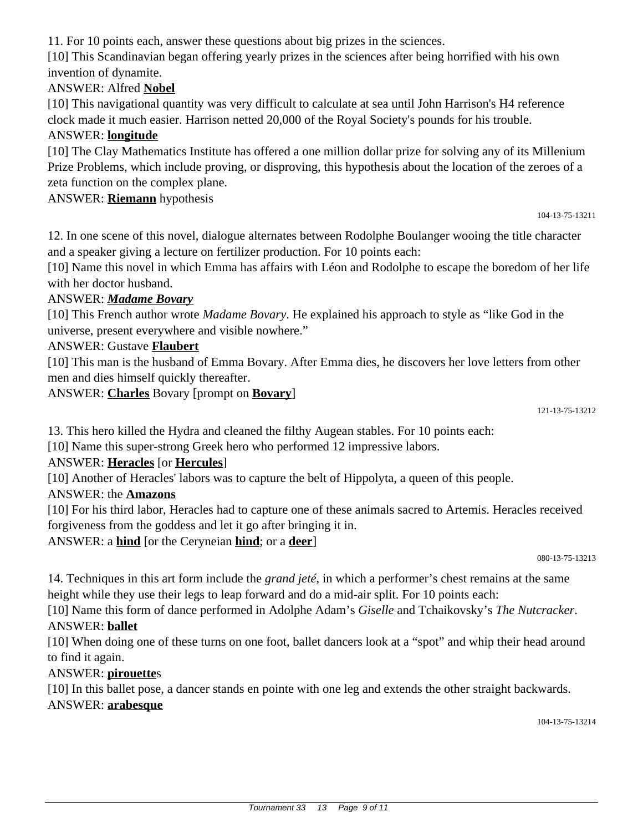11. For 10 points each, answer these questions about big prizes in the sciences.

[10] This Scandinavian began offering yearly prizes in the sciences after being horrified with his own invention of dynamite.

# ANSWER: Alfred **Nobel**

[10] This navigational quantity was very difficult to calculate at sea until John Harrison's H4 reference clock made it much easier. Harrison netted 20,000 of the Royal Society's pounds for his trouble.

## ANSWER: **longitude**

[10] The Clay Mathematics Institute has offered a one million dollar prize for solving any of its Millenium Prize Problems, which include proving, or disproving, this hypothesis about the location of the zeroes of a zeta function on the complex plane.

### ANSWER: **Riemann** hypothesis

104-13-75-13211

12. In one scene of this novel, dialogue alternates between Rodolphe Boulanger wooing the title character and a speaker giving a lecture on fertilizer production. For 10 points each:

[10] Name this novel in which Emma has affairs with Léon and Rodolphe to escape the boredom of her life with her doctor husband.

### ANSWER: *Madame Bovary*

[10] This French author wrote *Madame Bovary*. He explained his approach to style as "like God in the universe, present everywhere and visible nowhere."

### ANSWER: Gustave **Flaubert**

[10] This man is the husband of Emma Bovary. After Emma dies, he discovers her love letters from other men and dies himself quickly thereafter.

ANSWER: **Charles** Bovary [prompt on **Bovary**]

121-13-75-13212

13. This hero killed the Hydra and cleaned the filthy Augean stables. For 10 points each:

[10] Name this super-strong Greek hero who performed 12 impressive labors.

# ANSWER: **Heracles** [or **Hercules**]

[10] Another of Heracles' labors was to capture the belt of Hippolyta, a queen of this people.

#### ANSWER: the **Amazons**

[10] For his third labor, Heracles had to capture one of these animals sacred to Artemis. Heracles received forgiveness from the goddess and let it go after bringing it in.

ANSWER: a **hind** [or the Ceryneian **hind**; or a **deer**]

080-13-75-13213

14. Techniques in this art form include the *grand jeté*, in which a performer's chest remains at the same height while they use their legs to leap forward and do a mid-air split. For 10 points each:

[10] Name this form of dance performed in Adolphe Adam's *Giselle* and Tchaikovsky's *The Nutcracker*. ANSWER: **ballet**

[10] When doing one of these turns on one foot, ballet dancers look at a "spot" and whip their head around to find it again.

#### ANSWER: **pirouette**s

[10] In this ballet pose, a dancer stands en pointe with one leg and extends the other straight backwards. ANSWER: **arabesque**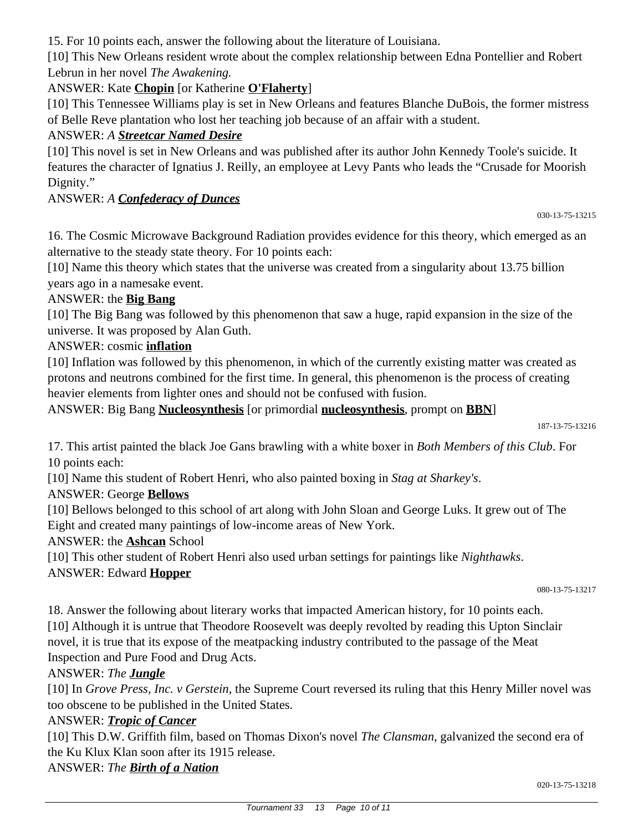15. For 10 points each, answer the following about the literature of Louisiana.

[10] This New Orleans resident wrote about the complex relationship between Edna Pontellier and Robert Lebrun in her novel *The Awakening.*

# ANSWER: Kate **Chopin** [or Katherine **O'Flaherty**]

[10] This Tennessee Williams play is set in New Orleans and features Blanche DuBois, the former mistress of Belle Reve plantation who lost her teaching job because of an affair with a student.

# ANSWER: *A Streetcar Named Desire*

[10] This novel is set in New Orleans and was published after its author John Kennedy Toole's suicide. It features the character of Ignatius J. Reilly, an employee at Levy Pants who leads the "Crusade for Moorish Dignity."

# ANSWER: *A Confederacy of Dunces*

030-13-75-13215

16. The Cosmic Microwave Background Radiation provides evidence for this theory, which emerged as an alternative to the steady state theory. For 10 points each:

[10] Name this theory which states that the universe was created from a singularity about 13.75 billion years ago in a namesake event.

# ANSWER: the **Big Bang**

[10] The Big Bang was followed by this phenomenon that saw a huge, rapid expansion in the size of the universe. It was proposed by Alan Guth.

# ANSWER: cosmic **inflation**

[10] Inflation was followed by this phenomenon, in which of the currently existing matter was created as protons and neutrons combined for the first time. In general, this phenomenon is the process of creating heavier elements from lighter ones and should not be confused with fusion.

ANSWER: Big Bang **Nucleosynthesis** [or primordial **nucleosynthesis**, prompt on **BBN**]

187-13-75-13216

17. This artist painted the black Joe Gans brawling with a white boxer in *Both Members of this Club*. For 10 points each:

[10] Name this student of Robert Henri, who also painted boxing in *Stag at Sharkey's*.

ANSWER: George **Bellows**

[10] Bellows belonged to this school of art along with John Sloan and George Luks. It grew out of The Eight and created many paintings of low-income areas of New York.

ANSWER: the **Ashcan** School

[10] This other student of Robert Henri also used urban settings for paintings like *Nighthawks*.

# ANSWER: Edward **Hopper**

080-13-75-13217

18. Answer the following about literary works that impacted American history, for 10 points each. [10] Although it is untrue that Theodore Roosevelt was deeply revolted by reading this Upton Sinclair novel, it is true that its expose of the meatpacking industry contributed to the passage of the Meat Inspection and Pure Food and Drug Acts.

# ANSWER: *The Jungle*

[10] In *Grove Press, Inc. v Gerstein*, the Supreme Court reversed its ruling that this Henry Miller novel was too obscene to be published in the United States.

# ANSWER: *Tropic of Cancer*

[10] This D.W. Griffith film, based on Thomas Dixon's novel *The Clansman*, galvanized the second era of the Ku Klux Klan soon after its 1915 release.

ANSWER: *The Birth of a Nation*